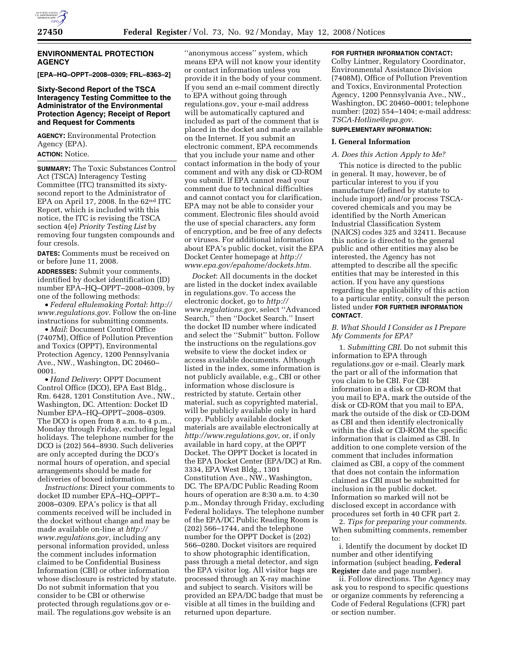

## **ENVIRONMENTAL PROTECTION AGENCY**

**[EPA–HQ–OPPT–2008–0309; FRL–8363–2]** 

## **Sixty-Second Report of the TSCA Interagency Testing Committee to the Administrator of the Environmental Protection Agency; Receipt of Report and Request for Comments**

**AGENCY:** Environmental Protection Agency (EPA).

**ACTION:** Notice.

**SUMMARY:** The Toxic Substances Control Act (TSCA) Interagency Testing Committee (ITC) transmitted its sixtysecond report to the Administrator of EPA on April 17, 2008. In the  $62<sup>nd</sup>$  ITC Report, which is included with this notice, the ITC is revising the TSCA section 4(e) *Priority Testing List* by removing four tungsten compounds and four cresols.

**DATES:** Comments must be received on or before June 11, 2008.

**ADDRESSES:** Submit your comments, identified by docket identification (ID) number EPA–HQ–OPPT–2008–0309, by one of the following methods:

• *Federal eRulemaking Portal*: *http:// www.regulations.gov*. Follow the on-line instructions for submitting comments.

• *Mail*: Document Control Office (7407M), Office of Pollution Prevention and Toxics (OPPT), Environmental Protection Agency, 1200 Pennsylvania Ave., NW., Washington, DC 20460– 0001.

• *Hand Delivery*: OPPT Document Control Office (DCO), EPA East Bldg., Rm. 6428, 1201 Constitution Ave., NW., Washington, DC. Attention: Docket ID Number EPA–HQ–OPPT–2008–0309. The DCO is open from 8 a.m. to 4 p.m., Monday through Friday, excluding legal holidays. The telephone number for the DCO is (202) 564–8930. Such deliveries are only accepted during the DCO's normal hours of operation, and special arrangements should be made for deliveries of boxed information.

*Instructions*: Direct your comments to docket ID number EPA–HQ–OPPT– 2008–0309. EPA's policy is that all comments received will be included in the docket without change and may be made available on-line at *http:// www.regulations.gov*, including any personal information provided, unless the comment includes information claimed to be Confidential Business Information (CBI) or other information whose disclosure is restricted by statute. Do not submit information that you consider to be CBI or otherwise protected through regulations.gov or email. The regulations.gov website is an

''anonymous access'' system, which means EPA will not know your identity or contact information unless you provide it in the body of your comment. If you send an e-mail comment directly to EPA without going through regulations.gov, your e-mail address will be automatically captured and included as part of the comment that is placed in the docket and made available on the Internet. If you submit an electronic comment, EPA recommends that you include your name and other contact information in the body of your comment and with any disk or CD-ROM you submit. If EPA cannot read your comment due to technical difficulties and cannot contact you for clarification, EPA may not be able to consider your comment. Electronic files should avoid the use of special characters, any form of encryption, and be free of any defects or viruses. For additional information about EPA's public docket, visit the EPA Docket Center homepage at *http:// www.epa.gov/epahome/dockets.htm*.

*Docket*: All documents in the docket are listed in the docket index available in regulations.gov. To access the electronic docket, go to *http:// www.regulations.gov*, select ''Advanced Search,'' then ''Docket Search.'' Insert the docket ID number where indicated and select the ''Submit'' button. Follow the instructions on the regulations.gov website to view the docket index or access available documents. Although listed in the index, some information is not publicly available, e.g., CBI or other information whose disclosure is restricted by statute. Certain other material, such as copyrighted material, will be publicly available only in hard copy. Publicly available docket materials are available electronically at *http://www.regulations.gov*, or, if only available in hard copy, at the OPPT Docket. The OPPT Docket is located in the EPA Docket Center (EPA/DC) at Rm. 3334, EPA West Bldg., 1301 Constitution Ave., NW., Washington, DC. The EPA/DC Public Reading Room hours of operation are 8:30 a.m. to 4:30 p.m., Monday through Friday, excluding Federal holidays. The telephone number of the EPA/DC Public Reading Room is (202) 566–1744, and the telephone number for the OPPT Docket is (202) 566–0280. Docket visitors are required to show photographic identification, pass through a metal detector, and sign the EPA visitor log. All visitor bags are processed through an X-ray machine and subject to search. Visitors will be provided an EPA/DC badge that must be visible at all times in the building and returned upon departure.

### **FOR FURTHER INFORMATION CONTACT:**

Colby Lintner, Regulatory Coordinator, Environmental Assistance Division (7408M), Office of Pollution Prevention and Toxics, Environmental Protection Agency, 1200 Pennsylvania Ave., NW., Washington, DC 20460–0001; telephone number: (202) 554–1404; e-mail address: *TSCA-Hotline@epa.gov*.

## **SUPPLEMENTARY INFORMATION:**

## **I. General Information**

## *A. Does this Action Apply to Me?*

This notice is directed to the public in general. It may, however, be of particular interest to you if you manufacture (defined by statute to include import) and/or process TSCAcovered chemicals and you may be identified by the North American Industrial Classification System (NAICS) codes 325 and 32411. Because this notice is directed to the general public and other entities may also be interested, the Agency has not attempted to describe all the specific entities that may be interested in this action. If you have any questions regarding the applicability of this action to a particular entity, consult the person listed under **FOR FURTHER INFORMATION CONTACT**.

## *B. What Should I Consider as I Prepare My Comments for EPA?*

1. *Submitting CBI*. Do not submit this information to EPA through regulations.gov or e-mail. Clearly mark the part or all of the information that you claim to be CBI. For CBI information in a disk or CD-ROM that you mail to EPA, mark the outside of the disk or CD-ROM that you mail to EPA, mark the outside of the disk or CD-DOM as CBI and then identify electronically within the disk or CD-ROM the specific information that is claimed as CBI. In addition to one complete version of the comment that includes information claimed as CBI, a copy of the comment that does not contain the information claimed as CBI must be submitted for inclusion in the public docket. Information so marked will not be disclosed except in accordance with procedures set forth in 40 CFR part 2.

2. *Tips for preparing your comments*. When submitting comments, remember to:

i. Identify the document by docket ID number and other identifying information (subject heading, **Federal Register** date and page number).

ii. Follow directions. The Agency may ask you to respond to specific questions or organize comments by referencing a Code of Federal Regulations (CFR) part or section number.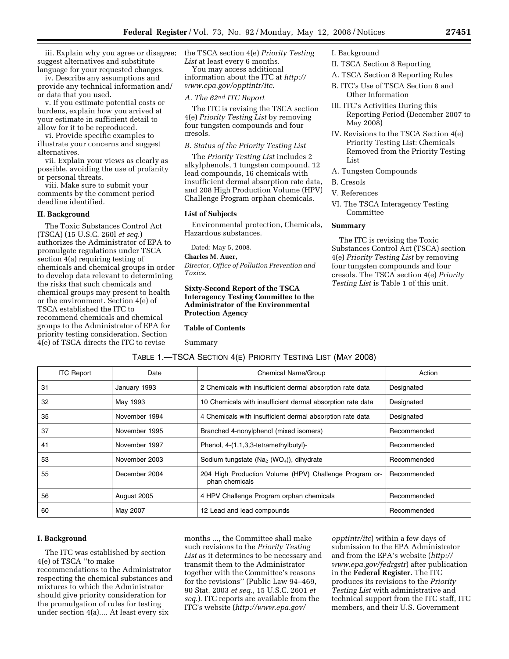iii. Explain why you agree or disagree; suggest alternatives and substitute language for your requested changes.

iv. Describe any assumptions and provide any technical information and/ or data that you used.

v. If you estimate potential costs or burdens, explain how you arrived at your estimate in sufficient detail to allow for it to be reproduced.

vi. Provide specific examples to illustrate your concerns and suggest alternatives.

vii. Explain your views as clearly as possible, avoiding the use of profanity or personal threats.

viii. Make sure to submit your comments by the comment period deadline identified.

### **II. Background**

The Toxic Substances Control Act (TSCA) (15 U.S.C. 260l *et seq*.) authorizes the Administrator of EPA to promulgate regulations under TSCA section 4(a) requiring testing of chemicals and chemical groups in order to develop data relevant to determining the risks that such chemicals and chemical groups may present to health or the environment. Section 4(e) of TSCA established the ITC to recommend chemicals and chemical groups to the Administrator of EPA for priority testing consideration. Section 4(e) of TSCA directs the ITC to revise

the TSCA section 4(e) *Priority Testing List* at least every 6 months.

You may access additional information about the ITC at *http:// www.epa.gov/opptintr/itc*.

### *A. The 62nd ITC Report*

The ITC is revising the TSCA section 4(e) *Priority Testing List* by removing four tungsten compounds and four cresols.

## *B. Status of the Priority Testing List*

The *Priority Testing List* includes 2 alkylphenols, 1 tungsten compound, 12 lead compounds, 16 chemicals with insufficient dermal absorption rate data, and 208 High Production Volume (HPV) Challenge Program orphan chemicals.

#### **List of Subjects**

Environmental protection, Chemicals, Hazardous substances.

Dated: May 5, 2008.

## **Charles M. Auer,**

*Director, Office of Pollution Prevention and Toxics.* 

## **Sixty-Second Report of the TSCA Interagency Testing Committee to the Administrator of the Environmental Protection Agency**

**Table of Contents** 

Summary

## I. Background

- II. TSCA Section 8 Reporting
- A. TSCA Section 8 Reporting Rules
- B. ITC's Use of TSCA Section 8 and Other Information
- III. ITC's Activities During this Reporting Period (December 2007 to May 2008)
- IV. Revisions to the TSCA Section 4(e) Priority Testing List: Chemicals Removed from the Priority Testing List
- A. Tungsten Compounds
- B. Cresols
- V. References
- VI. The TSCA Interagency Testing Committee

#### **Summary**

The ITC is revising the Toxic Substances Control Act (TSCA) section 4(e) *Priority Testing List* by removing four tungsten compounds and four cresols. The TSCA section 4(e) *Priority Testing List* is Table 1 of this unit.

| TABLE 1.—TSCA SECTION 4(E) PRIORITY TESTING LIST (MAY 2008) |  |  |  |
|-------------------------------------------------------------|--|--|--|
|-------------------------------------------------------------|--|--|--|

| <b>ITC Report</b> | Date          | Chemical Name/Group<br>Action                                                           |             |
|-------------------|---------------|-----------------------------------------------------------------------------------------|-------------|
| 31                | January 1993  | 2 Chemicals with insufficient dermal absorption rate data<br>Designated                 |             |
| 32                | May 1993      | 10 Chemicals with insufficient dermal absorption rate data<br>Designated                |             |
| 35                | November 1994 | 4 Chemicals with insufficient dermal absorption rate data<br>Designated                 |             |
| 37                | November 1995 | Branched 4-nonylphenol (mixed isomers)<br>Recommended                                   |             |
| 41                | November 1997 | Phenol, 4-(1,1,3,3-tetramethylbutyl)-                                                   | Recommended |
| 53                | November 2003 | Sodium tungstate ( $Na2$ (WO <sub>4</sub> )), dihydrate<br>Recommended                  |             |
| 55                | December 2004 | 204 High Production Volume (HPV) Challenge Program or-<br>Recommended<br>phan chemicals |             |
| 56                | August 2005   | 4 HPV Challenge Program orphan chemicals                                                | Recommended |
| 60                | May 2007      | 12 Lead and lead compounds<br>Recommended                                               |             |

## **I. Background**

The ITC was established by section 4(e) of TSCA ''to make recommendations to the Administrator respecting the chemical substances and mixtures to which the Administrator should give priority consideration for the promulgation of rules for testing under section 4(a).... At least every six

months ..., the Committee shall make such revisions to the *Priority Testing List* as it determines to be necessary and transmit them to the Administrator together with the Committee's reasons for the revisions'' (Public Law 94–469, 90 Stat. 2003 *et seq*., 15 U.S.C. 2601 *et seq*.). ITC reports are available from the ITC's website (*http://www.epa.gov/* 

*opptintr/itc*) within a few days of submission to the EPA Administrator and from the EPA's website (*http:// www.epa.gov/fedrgstr*) after publication in the **Federal Register**. The ITC produces its revisions to the *Priority Testing List* with administrative and technical support from the ITC staff, ITC members, and their U.S. Government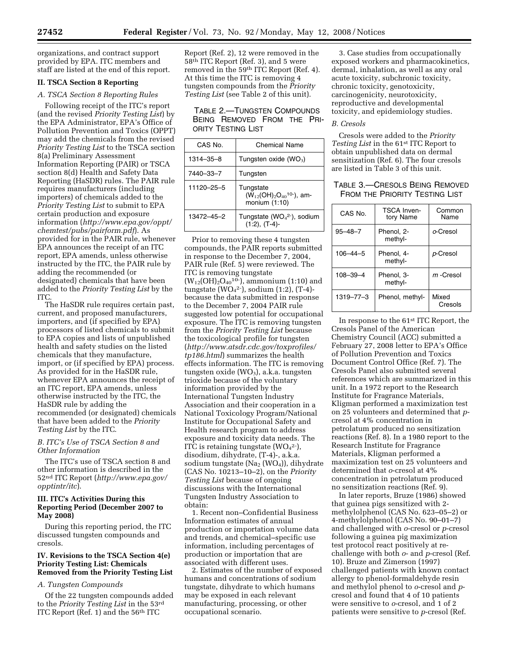organizations, and contract support provided by EPA. ITC members and staff are listed at the end of this report.

## **II. TSCA Section 8 Reporting**

## *A. TSCA Section 8 Reporting Rules*

Following receipt of the ITC's report (and the revised *Priority Testing List*) by the EPA Administrator, EPA's Office of Pollution Prevention and Toxics (OPPT) may add the chemicals from the revised *Priority Testing List* to the TSCA section 8(a) Preliminary Assessment Information Reporting (PAIR) or TSCA section 8(d) Health and Safety Data Reporting (HaSDR) rules. The PAIR rule requires manufacturers (including importers) of chemicals added to the *Priority Testing List* to submit to EPA certain production and exposure information (*http://www.epa.gov/oppt/ chemtest/pubs/pairform.pdf*). As provided for in the PAIR rule, whenever EPA announces the receipt of an ITC report, EPA amends, unless otherwise instructed by the ITC, the PAIR rule by adding the recommended (or designated) chemicals that have been added to the *Priority Testing List* by the ITC.

The HaSDR rule requires certain past, current, and proposed manufacturers, importers, and (if specified by EPA) processors of listed chemicals to submit to EPA copies and lists of unpublished health and safety studies on the listed chemicals that they manufacture, import, or (if specified by EPA) process. As provided for in the HaSDR rule, whenever EPA announces the receipt of an ITC report, EPA amends, unless otherwise instructed by the ITC, the HaSDR rule by adding the recommended (or designated) chemicals that have been added to the *Priority Testing List* by the ITC.

## *B. ITC's Use of TSCA Section 8 and Other Information*

The ITC's use of TSCA section 8 and other information is described in the 52nd ITC Report (*http://www.epa.gov/ opptintr/itc*).

## **III. ITC's Activities During this Reporting Period (December 2007 to May 2008)**

During this reporting period, the ITC discussed tungsten compounds and cresols.

## **IV. Revisions to the TSCA Section 4(e) Priority Testing List: Chemicals Removed from the Priority Testing List**

## *A. Tungsten Compounds*

Of the 22 tungsten compounds added to the *Priority Testing List* in the 53rd ITC Report (Ref. 1) and the  $56<sup>th</sup>$  ITC

Report (Ref. 2), 12 were removed in the 58th ITC Report (Ref. 3), and 5 were removed in the 59th ITC Report (Ref. 4). At this time the ITC is removing 4 tungsten compounds from the *Priority Testing List* (see Table 2 of this unit).

TABLE 2.—TUNGSTEN COMPOUNDS BEING REMOVED FROM THE PRI-ORITY TESTING LIST

| CAS No.    | Chemical Name                                                    |  |
|------------|------------------------------------------------------------------|--|
| 1314-35-8  | Tungsten oxide (WO <sub>3</sub> )                                |  |
| 7440-33-7  | Tungsten                                                         |  |
| 11120-25-5 | Tungstate<br>$(W_{12}(OH)_2O_{40}^{10})$ , am-<br>monium (1:10)  |  |
| 13472-45-2 | Tungstate ( $WO4$ <sup>2-</sup> ), sodium<br>$(1:2)$ , $(T-4)$ - |  |

Prior to removing these 4 tungsten compounds, the PAIR reports submitted in response to the December 7, 2004, PAIR rule (Ref. 5) were reviewed. The ITC is removing tungstate  $(W_{12}(OH)_{2}O_{40}^{10})$ , ammonium (1:10) and tungstate (WO4 2-), sodium (1:2), (T-4) because the data submitted in response to the December 7, 2004 PAIR rule suggested low potential for occupational exposure. The ITC is removing tungsten from the *Priority Testing List* because the toxicological profile for tungsten (*http://www.atsdr.cdc.gov/toxprofiles/ tp186.html*) summarizes the health effects information. The ITC is removing tungsten oxide  $(WO_3)$ , a.k.a. tungsten trioxide because of the voluntary information provided by the International Tungsten Industry Association and their cooperation in a National Toxicology Program/National Institute for Occupational Safety and Health research program to address exposure and toxicity data needs. The ITC is retaining tungstate  $(WO<sub>4</sub><sup>2</sup>-),$ disodium, dihydrate, (T-4)-, a.k.a. sodium tungstate (Na<sub>2</sub> (WO<sub>4</sub>)), dihydrate (CAS No. 10213–10–2), on the *Priority Testing List* because of ongoing discussions with the International Tungsten Industry Association to obtain:

1. Recent non–Confidential Business Information estimates of annual production or importation volume data and trends, and chemical–specific use information, including percentages of production or importation that are associated with different uses.

2. Estimates of the number of exposed humans and concentrations of sodium tungstate, dihydrate to which humans may be exposed in each relevant manufacturing, processing, or other occupational scenario.

3. Case studies from occupationally exposed workers and pharmacokinetics, dermal, inhalation, as well as any oral acute toxicity, subchronic toxicity, chronic toxicity, genotoxicity, carcinogenicity, neurotoxicity, reproductive and developmental toxicity, and epidemiology studies.

## *B. Cresols*

Cresols were added to the *Priority Testing List* in the 61st ITC Report to obtain unpublished data on dermal sensitization (Ref. 6). The four cresols are listed in Table 3 of this unit.

# TABLE 3.—CRESOLS BEING REMOVED FROM THE PRIORITY TESTING LIST

| CAS No.         | TSCA Inven-<br>tory Name | Common<br>Name   |
|-----------------|--------------------------|------------------|
| $95 - 48 - 7$   | Phenol, 2-<br>methyl-    | o-Cresol         |
| $106 - 44 - 5$  | Phenol. 4-<br>methyl-    | p-Cresol         |
| $108 - 39 - 4$  | Phenol, 3-<br>methyl-    | $m$ -Cresol      |
| $1319 - 77 - 3$ | Phenol, methyl-          | Mixed<br>Cresols |

In response to the 61st ITC Report, the Cresols Panel of the American Chemistry Council (ACC) submitted a February 27, 2008 letter to EPA's Office of Pollution Prevention and Toxics Document Control Office (Ref. 7). The Cresols Panel also submitted several references which are summarized in this unit. In a 1972 report to the Research Institute for Fragrance Materials, Kligman performed a maximization test on 25 volunteers and determined that *p*cresol at 4% concentration in petrolatum produced no sensitization reactions (Ref. 8). In a 1980 report to the Research Institute for Fragrance Materials, Kligman performed a maximization test on 25 volunteers and determined that *o*-cresol at 4% concentration in petrolatum produced no sensitization reactions (Ref. 9).

In later reports, Bruze (1986) showed that guinea pigs sensitized with 2 methylolphenol (CAS No. 623–05–2) or 4-methylolphenol (CAS No. 90–01–7) and challenged with *o*-cresol or *p*-cresol following a guinea pig maximization test protocol react positively at rechallenge with both *o*- and *p*-cresol (Ref. 10). Bruze and Zimerson (1997) challenged patients with known contact allergy to phenol-formaldehyde resin and methylol phenol to *o*-cresol and *p*cresol and found that 4 of 10 patients were sensitive to *o*-cresol, and 1 of 2 patients were sensitive to *p*-cresol (Ref.